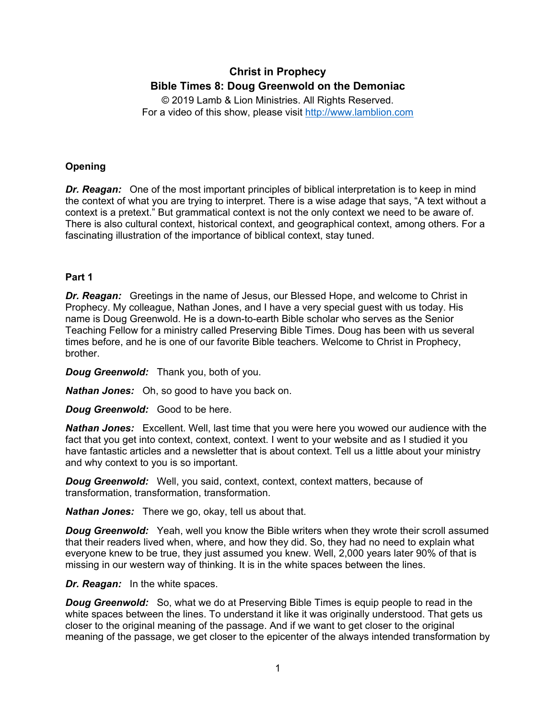# **Christ in Prophecy Bible Times 8: Doug Greenwold on the Demoniac**

© 2019 Lamb & Lion Ministries. All Rights Reserved. For a video of this show, please visit [http://www.lamblion.com](http://www.lamblion.com/)

# **Opening**

*Dr. Reagan:* One of the most important principles of biblical interpretation is to keep in mind the context of what you are trying to interpret. There is a wise adage that says, "A text without a context is a pretext." But grammatical context is not the only context we need to be aware of. There is also cultural context, historical context, and geographical context, among others. For a fascinating illustration of the importance of biblical context, stay tuned.

# **Part 1**

*Dr. Reagan:* Greetings in the name of Jesus, our Blessed Hope, and welcome to Christ in Prophecy. My colleague, Nathan Jones, and I have a very special guest with us today. His name is Doug Greenwold. He is a down-to-earth Bible scholar who serves as the Senior Teaching Fellow for a ministry called Preserving Bible Times. Doug has been with us several times before, and he is one of our favorite Bible teachers. Welcome to Christ in Prophecy, brother.

*Doug Greenwold:* Thank you, both of you.

*Nathan Jones:* Oh, so good to have you back on.

*Doug Greenwold:* Good to be here.

*Nathan Jones:* Excellent. Well, last time that you were here you wowed our audience with the fact that you get into context, context, context. I went to your website and as I studied it you have fantastic articles and a newsletter that is about context. Tell us a little about your ministry and why context to you is so important.

*Doug Greenwold:* Well, you said, context, context, context matters, because of transformation, transformation, transformation.

*Nathan Jones:* There we go, okay, tell us about that.

**Doug Greenwold:** Yeah, well you know the Bible writers when they wrote their scroll assumed that their readers lived when, where, and how they did. So, they had no need to explain what everyone knew to be true, they just assumed you knew. Well, 2,000 years later 90% of that is missing in our western way of thinking. It is in the white spaces between the lines.

*Dr. Reagan:* In the white spaces.

*Doug Greenwold:* So, what we do at Preserving Bible Times is equip people to read in the white spaces between the lines. To understand it like it was originally understood. That gets us closer to the original meaning of the passage. And if we want to get closer to the original meaning of the passage, we get closer to the epicenter of the always intended transformation by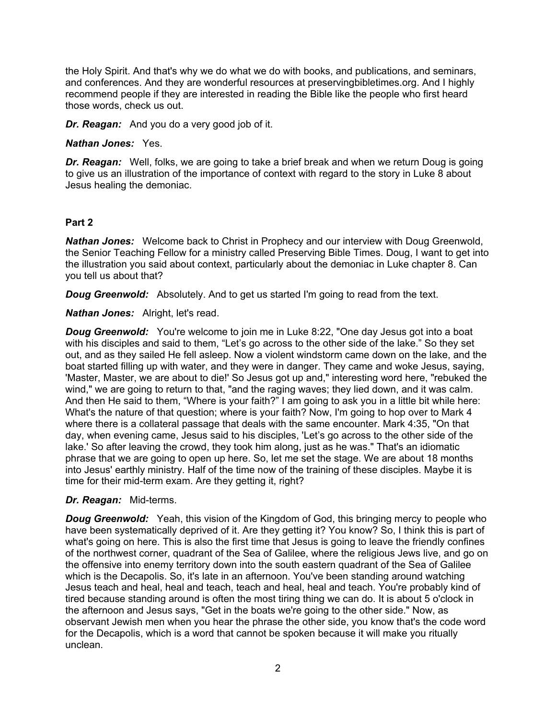the Holy Spirit. And that's why we do what we do with books, and publications, and seminars, and conferences. And they are wonderful resources at preservingbibletimes.org. And I highly recommend people if they are interested in reading the Bible like the people who first heard those words, check us out.

*Dr. Reagan:* And you do a very good job of it.

*Nathan Jones:* Yes.

*Dr. Reagan:* Well, folks, we are going to take a brief break and when we return Doug is going to give us an illustration of the importance of context with regard to the story in Luke 8 about Jesus healing the demoniac.

# **Part 2**

*Nathan Jones:* Welcome back to Christ in Prophecy and our interview with Doug Greenwold, the Senior Teaching Fellow for a ministry called Preserving Bible Times. Doug, I want to get into the illustration you said about context, particularly about the demoniac in Luke chapter 8. Can you tell us about that?

*Doug Greenwold:* Absolutely. And to get us started I'm going to read from the text.

*Nathan Jones:* Alright, let's read.

**Doug Greenwold:** You're welcome to join me in Luke 8:22, "One day Jesus got into a boat with his disciples and said to them, "Let's go across to the other side of the lake." So they set out, and as they sailed He fell asleep. Now a violent windstorm came down on the lake, and the boat started filling up with water, and they were in danger. They came and woke Jesus, saying, 'Master, Master, we are about to die!' So Jesus got up and," interesting word here, "rebuked the wind," we are going to return to that, "and the raging waves; they lied down, and it was calm. And then He said to them, "Where is your faith?" I am going to ask you in a little bit while here: What's the nature of that question; where is your faith? Now, I'm going to hop over to Mark 4 where there is a collateral passage that deals with the same encounter. Mark 4:35, "On that day, when evening came, Jesus said to his disciples, 'Let's go across to the other side of the lake.' So after leaving the crowd, they took him along, just as he was." That's an idiomatic phrase that we are going to open up here. So, let me set the stage. We are about 18 months into Jesus' earthly ministry. Half of the time now of the training of these disciples. Maybe it is time for their mid-term exam. Are they getting it, right?

# *Dr. Reagan:* Mid-terms.

**Doug Greenwold:** Yeah, this vision of the Kingdom of God, this bringing mercy to people who have been systematically deprived of it. Are they getting it? You know? So, I think this is part of what's going on here. This is also the first time that Jesus is going to leave the friendly confines of the northwest corner, quadrant of the Sea of Galilee, where the religious Jews live, and go on the offensive into enemy territory down into the south eastern quadrant of the Sea of Galilee which is the Decapolis. So, it's late in an afternoon. You've been standing around watching Jesus teach and heal, heal and teach, teach and heal, heal and teach. You're probably kind of tired because standing around is often the most tiring thing we can do. It is about 5 o'clock in the afternoon and Jesus says, "Get in the boats we're going to the other side." Now, as observant Jewish men when you hear the phrase the other side, you know that's the code word for the Decapolis, which is a word that cannot be spoken because it will make you ritually unclean.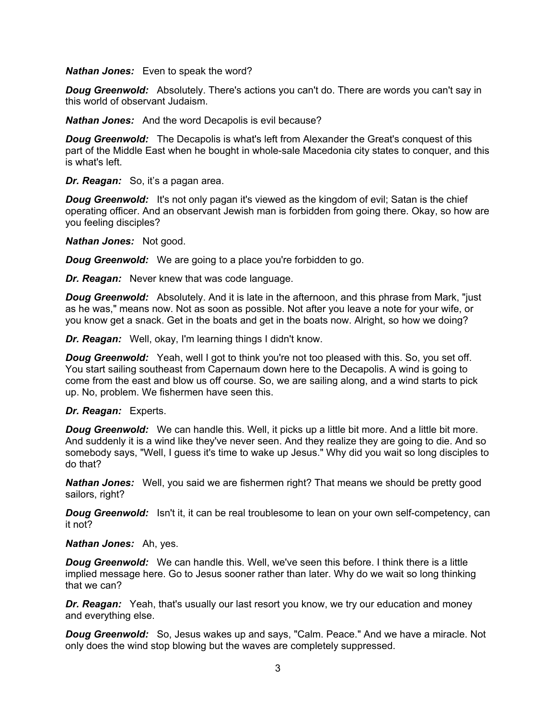#### *Nathan Jones:* Even to speak the word?

**Doug Greenwold:** Absolutely. There's actions you can't do. There are words you can't say in this world of observant Judaism.

*Nathan Jones:* And the word Decapolis is evil because?

*Doug Greenwold:* The Decapolis is what's left from Alexander the Great's conquest of this part of the Middle East when he bought in whole-sale Macedonia city states to conquer, and this is what's left.

*Dr. Reagan:* So, it's a pagan area.

**Doug Greenwold:** It's not only pagan it's viewed as the kingdom of evil; Satan is the chief operating officer. And an observant Jewish man is forbidden from going there. Okay, so how are you feeling disciples?

*Nathan Jones:* Not good.

*Doug Greenwold:* We are going to a place you're forbidden to go.

*Dr. Reagan:* Never knew that was code language.

**Doug Greenwold:** Absolutely. And it is late in the afternoon, and this phrase from Mark, "just as he was," means now. Not as soon as possible. Not after you leave a note for your wife, or you know get a snack. Get in the boats and get in the boats now. Alright, so how we doing?

*Dr. Reagan:* Well, okay, I'm learning things I didn't know.

*Doug Greenwold:* Yeah, well I got to think you're not too pleased with this. So, you set off. You start sailing southeast from Capernaum down here to the Decapolis. A wind is going to come from the east and blow us off course. So, we are sailing along, and a wind starts to pick up. No, problem. We fishermen have seen this.

#### *Dr. Reagan:* Experts.

**Doug Greenwold:** We can handle this. Well, it picks up a little bit more. And a little bit more. And suddenly it is a wind like they've never seen. And they realize they are going to die. And so somebody says, "Well, I guess it's time to wake up Jesus." Why did you wait so long disciples to do that?

*Nathan Jones:* Well, you said we are fishermen right? That means we should be pretty good sailors, right?

**Doug Greenwold:** Isn't it, it can be real troublesome to lean on your own self-competency, can it not?

#### *Nathan Jones:* Ah, yes.

**Doug Greenwold:** We can handle this. Well, we've seen this before. I think there is a little implied message here. Go to Jesus sooner rather than later. Why do we wait so long thinking that we can?

*Dr. Reagan:* Yeah, that's usually our last resort you know, we try our education and money and everything else.

*Doug Greenwold:* So, Jesus wakes up and says, "Calm. Peace." And we have a miracle. Not only does the wind stop blowing but the waves are completely suppressed.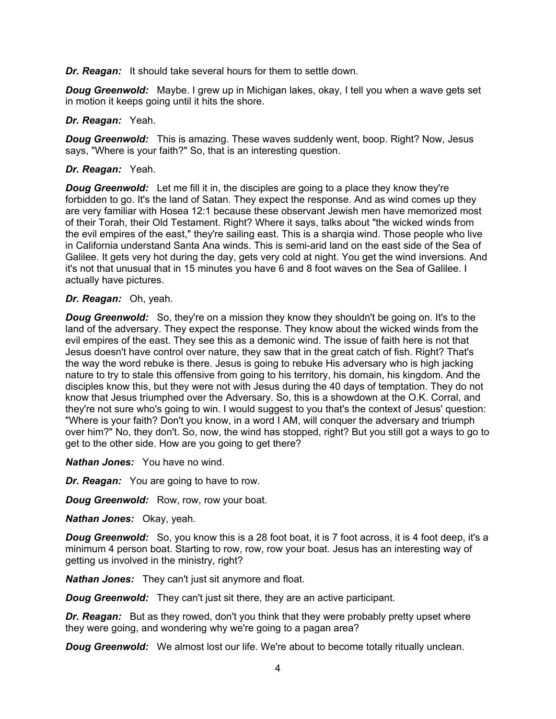*Dr. Reagan:* It should take several hours for them to settle down.

*Doug Greenwold:* Maybe. I grew up in Michigan lakes, okay, I tell you when a wave gets set in motion it keeps going until it hits the shore.

#### *Dr. Reagan:* Yeah.

*Doug Greenwold:* This is amazing. These waves suddenly went, boop. Right? Now, Jesus says, "Where is your faith?" So, that is an interesting question.

### *Dr. Reagan:* Yeah.

*Doug Greenwold:* Let me fill it in, the disciples are going to a place they know they're forbidden to go. It's the land of Satan. They expect the response. And as wind comes up they are very familiar with Hosea 12:1 because these observant Jewish men have memorized most of their Torah, their Old Testament. Right? Where it says, talks about "the wicked winds from the evil empires of the east," they're sailing east. This is a sharqia wind. Those people who live in California understand Santa Ana winds. This is semi-arid land on the east side of the Sea of Galilee. It gets very hot during the day, gets very cold at night. You get the wind inversions. And it's not that unusual that in 15 minutes you have 6 and 8 foot waves on the Sea of Galilee. I actually have pictures.

#### *Dr. Reagan:* Oh, yeah.

*Doug Greenwold:* So, they're on a mission they know they shouldn't be going on. It's to the land of the adversary. They expect the response. They know about the wicked winds from the evil empires of the east. They see this as a demonic wind. The issue of faith here is not that Jesus doesn't have control over nature, they saw that in the great catch of fish. Right? That's the way the word rebuke is there. Jesus is going to rebuke His adversary who is high jacking nature to try to stale this offensive from going to his territory, his domain, his kingdom. And the disciples know this, but they were not with Jesus during the 40 days of temptation. They do not know that Jesus triumphed over the Adversary. So, this is a showdown at the O.K. Corral, and they're not sure who's going to win. I would suggest to you that's the context of Jesus' question: "Where is your faith? Don't you know, in a word I AM, will conquer the adversary and triumph over him?" No, they don't. So, now, the wind has stopped, right? But you still got a ways to go to get to the other side. How are you going to get there?

*Nathan Jones:* You have no wind.

*Dr. Reagan:* You are going to have to row.

*Doug Greenwold:* Row, row, row your boat.

*Nathan Jones:* Okay, yeah.

*Doug Greenwold:* So, you know this is a 28 foot boat, it is 7 foot across, it is 4 foot deep, it's a minimum 4 person boat. Starting to row, row, row your boat. Jesus has an interesting way of getting us involved in the ministry, right?

*Nathan Jones:* They can't just sit anymore and float.

*Doug Greenwold:* They can't just sit there, they are an active participant.

*Dr. Reagan:* But as they rowed, don't you think that they were probably pretty upset where they were going, and wondering why we're going to a pagan area?

**Doug Greenwold:** We almost lost our life. We're about to become totally ritually unclean.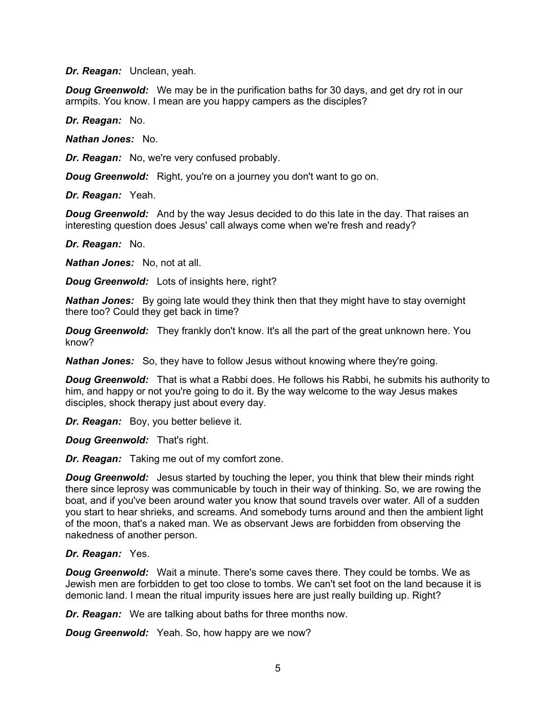*Dr. Reagan:* Unclean, yeah.

**Doug Greenwold:** We may be in the purification baths for 30 days, and get dry rot in our armpits. You know. I mean are you happy campers as the disciples?

*Dr. Reagan:* No.

*Nathan Jones:* No.

*Dr. Reagan:* No, we're very confused probably.

*Doug Greenwold:* Right, you're on a journey you don't want to go on.

*Dr. Reagan:* Yeah.

**Doug Greenwold:** And by the way Jesus decided to do this late in the day. That raises an interesting question does Jesus' call always come when we're fresh and ready?

*Dr. Reagan:* No.

*Nathan Jones:* No, not at all.

*Doug Greenwold:* Lots of insights here, right?

*Nathan Jones:* By going late would they think then that they might have to stay overnight there too? Could they get back in time?

*Doug Greenwold:* They frankly don't know. It's all the part of the great unknown here. You know?

*Nathan Jones:* So, they have to follow Jesus without knowing where they're going.

**Doug Greenwold:** That is what a Rabbi does. He follows his Rabbi, he submits his authority to him, and happy or not you're going to do it. By the way welcome to the way Jesus makes disciples, shock therapy just about every day.

*Dr. Reagan:* Boy, you better believe it.

*Doug Greenwold:* That's right.

*Dr. Reagan:* Taking me out of my comfort zone.

**Doug Greenwold:** Jesus started by touching the leper, you think that blew their minds right there since leprosy was communicable by touch in their way of thinking. So, we are rowing the boat, and if you've been around water you know that sound travels over water. All of a sudden you start to hear shrieks, and screams. And somebody turns around and then the ambient light of the moon, that's a naked man. We as observant Jews are forbidden from observing the nakedness of another person.

#### *Dr. Reagan:* Yes.

*Doug Greenwold:* Wait a minute. There's some caves there. They could be tombs. We as Jewish men are forbidden to get too close to tombs. We can't set foot on the land because it is demonic land. I mean the ritual impurity issues here are just really building up. Right?

*Dr. Reagan:* We are talking about baths for three months now.

*Doug Greenwold:* Yeah. So, how happy are we now?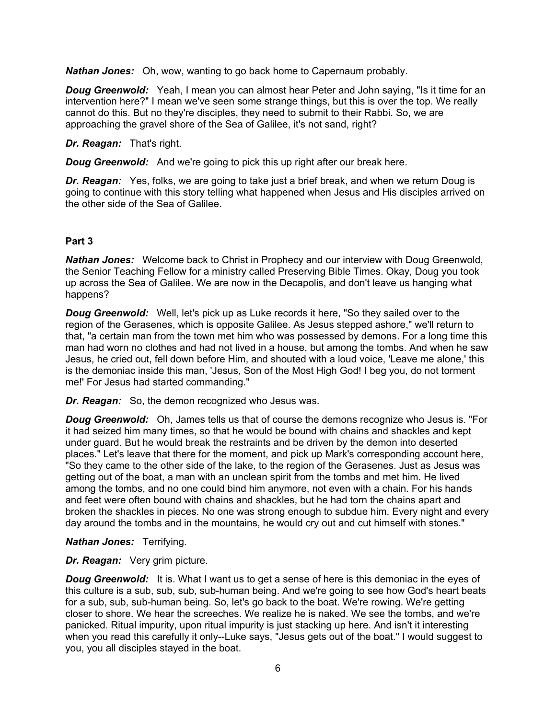*Nathan Jones:* Oh, wow, wanting to go back home to Capernaum probably.

**Doug Greenwold:** Yeah, I mean you can almost hear Peter and John saying. "Is it time for an intervention here?" I mean we've seen some strange things, but this is over the top. We really cannot do this. But no they're disciples, they need to submit to their Rabbi. So, we are approaching the gravel shore of the Sea of Galilee, it's not sand, right?

*Dr. Reagan:* That's right.

*Doug Greenwold:* And we're going to pick this up right after our break here.

*Dr. Reagan:* Yes, folks, we are going to take just a brief break, and when we return Doug is going to continue with this story telling what happened when Jesus and His disciples arrived on the other side of the Sea of Galilee.

# **Part 3**

*Nathan Jones:* Welcome back to Christ in Prophecy and our interview with Doug Greenwold, the Senior Teaching Fellow for a ministry called Preserving Bible Times. Okay, Doug you took up across the Sea of Galilee. We are now in the Decapolis, and don't leave us hanging what happens?

*Doug Greenwold:* Well, let's pick up as Luke records it here, "So they sailed over to the region of the Gerasenes, which is opposite Galilee. As Jesus stepped ashore," we'll return to that, "a certain man from the town met him who was possessed by demons. For a long time this man had worn no clothes and had not lived in a house, but among the tombs. And when he saw Jesus, he cried out, fell down before Him, and shouted with a loud voice, 'Leave me alone,' this is the demoniac inside this man, 'Jesus, Son of the Most High God! I beg you, do not torment me!' For Jesus had started commanding."

*Dr. Reagan:* So, the demon recognized who Jesus was.

*Doug Greenwold:* Oh, James tells us that of course the demons recognize who Jesus is. "For it had seized him many times, so that he would be bound with chains and shackles and kept under guard. But he would break the restraints and be driven by the demon into deserted places." Let's leave that there for the moment, and pick up Mark's corresponding account here, "So they came to the other side of the lake, to the region of the Gerasenes. Just as Jesus was getting out of the boat, a man with an unclean spirit from the tombs and met him. He lived among the tombs, and no one could bind him anymore, not even with a chain. For his hands and feet were often bound with chains and shackles, but he had torn the chains apart and broken the shackles in pieces. No one was strong enough to subdue him. Every night and every day around the tombs and in the mountains, he would cry out and cut himself with stones."

*Nathan Jones:* Terrifying.

*Dr. Reagan:* Very grim picture.

**Doug Greenwold:** It is. What I want us to get a sense of here is this demoniac in the eyes of this culture is a sub, sub, sub, sub-human being. And we're going to see how God's heart beats for a sub, sub, sub-human being. So, let's go back to the boat. We're rowing. We're getting closer to shore. We hear the screeches. We realize he is naked. We see the tombs, and we're panicked. Ritual impurity, upon ritual impurity is just stacking up here. And isn't it interesting when you read this carefully it only--Luke says, "Jesus gets out of the boat." I would suggest to you, you all disciples stayed in the boat.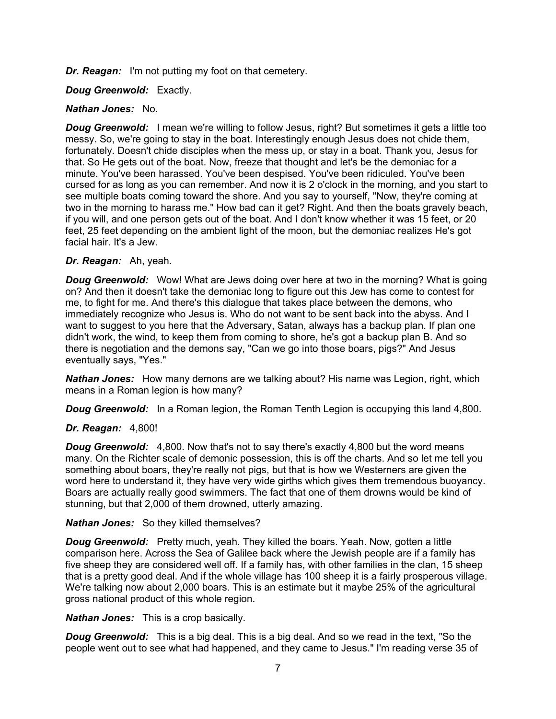*Dr. Reagan:* I'm not putting my foot on that cemetery.

*Doug Greenwold:* Exactly.

### *Nathan Jones:* No.

**Doug Greenwold:** I mean we're willing to follow Jesus, right? But sometimes it gets a little too messy. So, we're going to stay in the boat. Interestingly enough Jesus does not chide them, fortunately. Doesn't chide disciples when the mess up, or stay in a boat. Thank you, Jesus for that. So He gets out of the boat. Now, freeze that thought and let's be the demoniac for a minute. You've been harassed. You've been despised. You've been ridiculed. You've been cursed for as long as you can remember. And now it is 2 o'clock in the morning, and you start to see multiple boats coming toward the shore. And you say to yourself, "Now, they're coming at two in the morning to harass me." How bad can it get? Right. And then the boats gravely beach, if you will, and one person gets out of the boat. And I don't know whether it was 15 feet, or 20 feet, 25 feet depending on the ambient light of the moon, but the demoniac realizes He's got facial hair. It's a Jew.

#### *Dr. Reagan:* Ah, yeah.

*Doug Greenwold:* Wow! What are Jews doing over here at two in the morning? What is going on? And then it doesn't take the demoniac long to figure out this Jew has come to contest for me, to fight for me. And there's this dialogue that takes place between the demons, who immediately recognize who Jesus is. Who do not want to be sent back into the abyss. And I want to suggest to you here that the Adversary, Satan, always has a backup plan. If plan one didn't work, the wind, to keep them from coming to shore, he's got a backup plan B. And so there is negotiation and the demons say, "Can we go into those boars, pigs?" And Jesus eventually says, "Yes."

*Nathan Jones:* How many demons are we talking about? His name was Legion, right, which means in a Roman legion is how many?

*Doug Greenwold:* In a Roman legion, the Roman Tenth Legion is occupying this land 4,800.

# *Dr. Reagan:* 4,800!

**Doug Greenwold:** 4,800. Now that's not to say there's exactly 4,800 but the word means many. On the Richter scale of demonic possession, this is off the charts. And so let me tell you something about boars, they're really not pigs, but that is how we Westerners are given the word here to understand it, they have very wide girths which gives them tremendous buoyancy. Boars are actually really good swimmers. The fact that one of them drowns would be kind of stunning, but that 2,000 of them drowned, utterly amazing.

#### *Nathan Jones:* So they killed themselves?

*Doug Greenwold:* Pretty much, yeah. They killed the boars. Yeah. Now, gotten a little comparison here. Across the Sea of Galilee back where the Jewish people are if a family has five sheep they are considered well off. If a family has, with other families in the clan, 15 sheep that is a pretty good deal. And if the whole village has 100 sheep it is a fairly prosperous village. We're talking now about 2,000 boars. This is an estimate but it maybe 25% of the agricultural gross national product of this whole region.

*Nathan Jones:* This is a crop basically.

*Doug Greenwold:* This is a big deal. This is a big deal. And so we read in the text, "So the people went out to see what had happened, and they came to Jesus." I'm reading verse 35 of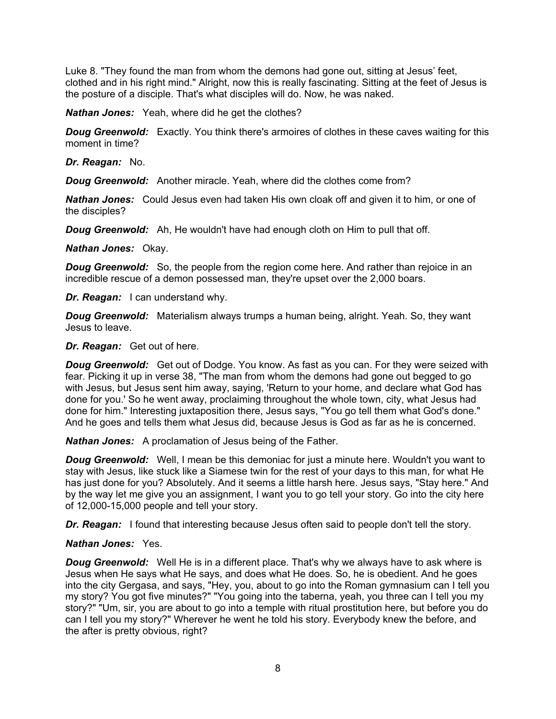Luke 8. "They found the man from whom the demons had gone out, sitting at Jesus' feet, clothed and in his right mind." Alright, now this is really fascinating. Sitting at the feet of Jesus is the posture of a disciple. That's what disciples will do. Now, he was naked.

*Nathan Jones:* Yeah, where did he get the clothes?

**Doug Greenwold:** Exactly. You think there's armoires of clothes in these caves waiting for this moment in time?

*Dr. Reagan:* No.

*Doug Greenwold:* Another miracle. Yeah, where did the clothes come from?

*Nathan Jones:* Could Jesus even had taken His own cloak off and given it to him, or one of the disciples?

*Doug Greenwold:* Ah, He wouldn't have had enough cloth on Him to pull that off.

*Nathan Jones:* Okay.

*Doug Greenwold:* So, the people from the region come here. And rather than rejoice in an incredible rescue of a demon possessed man, they're upset over the 2,000 boars.

*Dr. Reagan:* I can understand why.

*Doug Greenwold:* Materialism always trumps a human being, alright. Yeah. So, they want Jesus to leave.

*Dr. Reagan:* Get out of here.

*Doug Greenwold:* Get out of Dodge. You know. As fast as you can. For they were seized with fear. Picking it up in verse 38, "The man from whom the demons had gone out begged to go with Jesus, but Jesus sent him away, saying, 'Return to your home, and declare what God has done for you.' So he went away, proclaiming throughout the whole town, city, what Jesus had done for him." Interesting juxtaposition there, Jesus says, "You go tell them what God's done." And he goes and tells them what Jesus did, because Jesus is God as far as he is concerned.

*Nathan Jones:* A proclamation of Jesus being of the Father.

*Doug Greenwold:* Well, I mean be this demoniac for just a minute here. Wouldn't you want to stay with Jesus, like stuck like a Siamese twin for the rest of your days to this man, for what He has just done for you? Absolutely. And it seems a little harsh here. Jesus says, "Stay here." And by the way let me give you an assignment, I want you to go tell your story. Go into the city here of 12,000-15,000 people and tell your story.

*Dr. Reagan:* I found that interesting because Jesus often said to people don't tell the story.

# *Nathan Jones:* Yes.

*Doug Greenwold:* Well He is in a different place. That's why we always have to ask where is Jesus when He says what He says, and does what He does. So, he is obedient. And he goes into the city Gergasa, and says, "Hey, you, about to go into the Roman gymnasium can I tell you my story? You got five minutes?" "You going into the taberna, yeah, you three can I tell you my story?" "Um, sir, you are about to go into a temple with ritual prostitution here, but before you do can I tell you my story?" Wherever he went he told his story. Everybody knew the before, and the after is pretty obvious, right?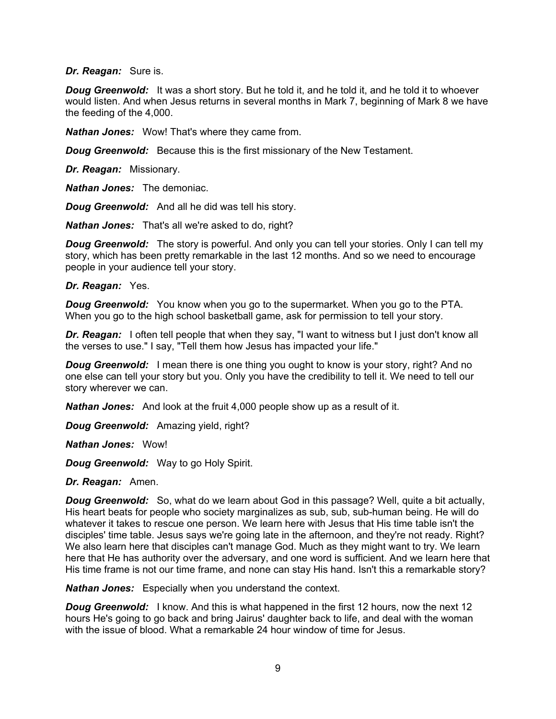#### *Dr. Reagan:* Sure is.

**Doug Greenwold:** It was a short story. But he told it, and he told it, and he told it to whoever would listen. And when Jesus returns in several months in Mark 7, beginning of Mark 8 we have the feeding of the 4,000.

*Nathan Jones:* Wow! That's where they came from.

*Doug Greenwold:* Because this is the first missionary of the New Testament.

*Dr. Reagan:* Missionary.

*Nathan Jones:* The demoniac.

*Doug Greenwold:* And all he did was tell his story.

*Nathan Jones:* That's all we're asked to do, right?

**Doug Greenwold:** The story is powerful. And only you can tell your stories. Only I can tell my story, which has been pretty remarkable in the last 12 months. And so we need to encourage people in your audience tell your story.

#### *Dr. Reagan:* Yes.

*Doug Greenwold:* You know when you go to the supermarket. When you go to the PTA. When you go to the high school basketball game, ask for permission to tell your story.

*Dr. Reagan:* I often tell people that when they say, "I want to witness but I just don't know all the verses to use." I say, "Tell them how Jesus has impacted your life."

*Doug Greenwold:* I mean there is one thing you ought to know is your story, right? And no one else can tell your story but you. Only you have the credibility to tell it. We need to tell our story wherever we can.

*Nathan Jones:* And look at the fruit 4,000 people show up as a result of it.

*Doug Greenwold:* Amazing yield, right?

*Nathan Jones:* Wow!

*Doug Greenwold:* Way to go Holy Spirit.

*Dr. Reagan:* Amen.

*Doug Greenwold:* So, what do we learn about God in this passage? Well, quite a bit actually, His heart beats for people who society marginalizes as sub, sub, sub-human being. He will do whatever it takes to rescue one person. We learn here with Jesus that His time table isn't the disciples' time table. Jesus says we're going late in the afternoon, and they're not ready. Right? We also learn here that disciples can't manage God. Much as they might want to try. We learn here that He has authority over the adversary, and one word is sufficient. And we learn here that His time frame is not our time frame, and none can stay His hand. Isn't this a remarkable story?

*Nathan Jones:* Especially when you understand the context.

**Doug Greenwold:** I know. And this is what happened in the first 12 hours, now the next 12 hours He's going to go back and bring Jairus' daughter back to life, and deal with the woman with the issue of blood. What a remarkable 24 hour window of time for Jesus.